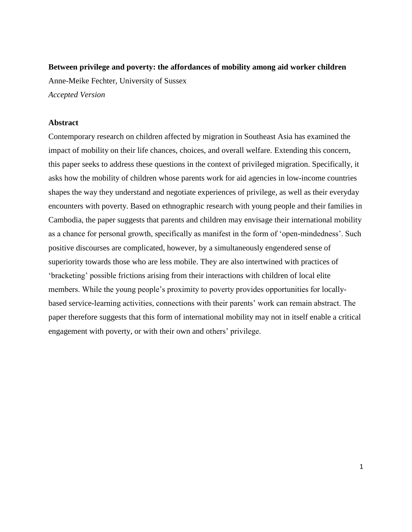**Between privilege and poverty: the affordances of mobility among aid worker children**  Anne-Meike Fechter, University of Sussex *Accepted Version* 

### **Abstract**

Contemporary research on children affected by migration in Southeast Asia has examined the impact of mobility on their life chances, choices, and overall welfare. Extending this concern, this paper seeks to address these questions in the context of privileged migration. Specifically, it asks how the mobility of children whose parents work for aid agencies in low-income countries shapes the way they understand and negotiate experiences of privilege, as well as their everyday encounters with poverty. Based on ethnographic research with young people and their families in Cambodia, the paper suggests that parents and children may envisage their international mobility as a chance for personal growth, specifically as manifest in the form of 'open-mindedness'. Such positive discourses are complicated, however, by a simultaneously engendered sense of superiority towards those who are less mobile. They are also intertwined with practices of 'bracketing' possible frictions arising from their interactions with children of local elite members. While the young people's proximity to poverty provides opportunities for locallybased service-learning activities, connections with their parents' work can remain abstract. The paper therefore suggests that this form of international mobility may not in itself enable a critical engagement with poverty, or with their own and others' privilege.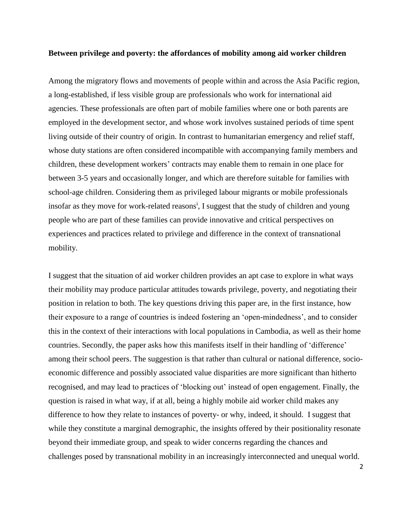### **Between privilege and poverty: the affordances of mobility among aid worker children**

Among the migratory flows and movements of people within and across the Asia Pacific region, a long-established, if less visible group are professionals who work for international aid agencies. These professionals are often part of mobile families where one or both parents are employed in the development sector, and whose work involves sustained periods of time spent living outside of their country of origin. In contrast to humanitarian emergency and relief staff, whose duty stations are often considered incompatible with accompanying family members and children, these development workers' contracts may enable them to remain in one place for between 3-5 years and occasionally longer, and which are therefore suitable for families with school-age children. Considering them as privileged labour migrants or mobile professionals insofar as they move for work-related reasons<sup>i</sup>, I suggest that the study of children and young people who are part of these families can provide innovative and critical perspectives on experiences and practices related to privilege and difference in the context of transnational mobility.

I suggest that the situation of aid worker children provides an apt case to explore in what ways their mobility may produce particular attitudes towards privilege, poverty, and negotiating their position in relation to both. The key questions driving this paper are, in the first instance, how their exposure to a range of countries is indeed fostering an 'open-mindedness', and to consider this in the context of their interactions with local populations in Cambodia, as well as their home countries. Secondly, the paper asks how this manifests itself in their handling of 'difference' among their school peers. The suggestion is that rather than cultural or national difference, socioeconomic difference and possibly associated value disparities are more significant than hitherto recognised, and may lead to practices of 'blocking out' instead of open engagement. Finally, the question is raised in what way, if at all, being a highly mobile aid worker child makes any difference to how they relate to instances of poverty- or why, indeed, it should. I suggest that while they constitute a marginal demographic, the insights offered by their positionality resonate beyond their immediate group, and speak to wider concerns regarding the chances and challenges posed by transnational mobility in an increasingly interconnected and unequal world.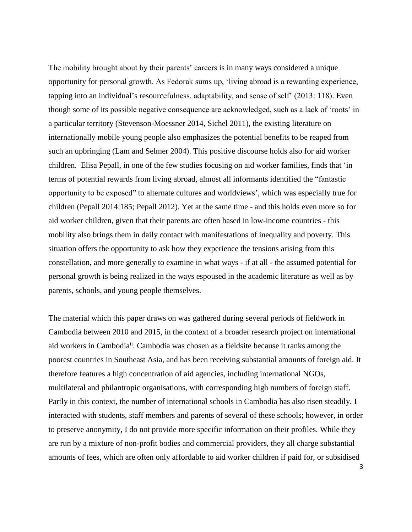The mobility brought about by their parents' careers is in many ways considered a unique opportunity for personal growth. As Fedorak sums up, 'living abroad is a rewarding experience, tapping into an individual's resourcefulness, adaptability, and sense of self' (2013: 118). Even though some of its possible negative consequence are acknowledged, such as a lack of 'roots' in a particular territory (Stevenson-Moessner 2014, Sichel 2011), the existing literature on internationally mobile young people also emphasizes the potential benefits to be reaped from such an upbringing (Lam and Selmer 2004). This positive discourse holds also for aid worker children. Elisa Pepall, in one of the few studies focusing on aid worker families, finds that 'in terms of potential rewards from living abroad, almost all informants identified the "fantastic opportunity to be exposed" to alternate cultures and worldviews', which was especially true for children (Pepall 2014:185; Pepall 2012). Yet at the same time - and this holds even more so for aid worker children, given that their parents are often based in low-income countries - this mobility also brings them in daily contact with manifestations of inequality and poverty. This situation offers the opportunity to ask how they experience the tensions arising from this constellation, and more generally to examine in what ways - if at all - the assumed potential for personal growth is being realized in the ways espoused in the academic literature as well as by parents, schools, and young people themselves.

The material which this paper draws on was gathered during several periods of fieldwork in Cambodia between 2010 and 2015, in the context of a broader research project on international aid workers in Cambodia<sup>ii</sup>. Cambodia was chosen as a fieldsite because it ranks among the poorest countries in Southeast Asia, and has been receiving substantial amounts of foreign aid. It therefore features a high concentration of aid agencies, including international NGOs, multilateral and philantropic organisations, with corresponding high numbers of foreign staff. Partly in this context, the number of international schools in Cambodia has also risen steadily. I interacted with students, staff members and parents of several of these schools; however, in order to preserve anonymity, I do not provide more specific information on their profiles. While they are run by a mixture of non-profit bodies and commercial providers, they all charge substantial amounts of fees, which are often only affordable to aid worker children if paid for, or subsidised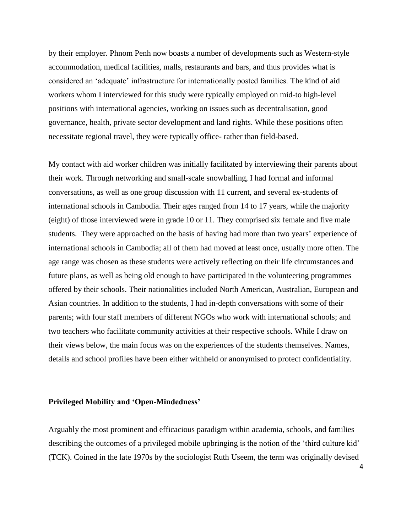by their employer. Phnom Penh now boasts a number of developments such as Western-style accommodation, medical facilities, malls, restaurants and bars, and thus provides what is considered an 'adequate' infrastructure for internationally posted families. The kind of aid workers whom I interviewed for this study were typically employed on mid-to high-level positions with international agencies, working on issues such as decentralisation, good governance, health, private sector development and land rights. While these positions often necessitate regional travel, they were typically office- rather than field-based.

My contact with aid worker children was initially facilitated by interviewing their parents about their work. Through networking and small-scale snowballing, I had formal and informal conversations, as well as one group discussion with 11 current, and several ex-students of international schools in Cambodia. Their ages ranged from 14 to 17 years, while the majority (eight) of those interviewed were in grade 10 or 11. They comprised six female and five male students. They were approached on the basis of having had more than two years' experience of international schools in Cambodia; all of them had moved at least once, usually more often. The age range was chosen as these students were actively reflecting on their life circumstances and future plans, as well as being old enough to have participated in the volunteering programmes offered by their schools. Their nationalities included North American, Australian, European and Asian countries. In addition to the students, I had in-depth conversations with some of their parents; with four staff members of different NGOs who work with international schools; and two teachers who facilitate community activities at their respective schools. While I draw on their views below, the main focus was on the experiences of the students themselves. Names, details and school profiles have been either withheld or anonymised to protect confidentiality.

### **Privileged Mobility and 'Open-Mindedness'**

Arguably the most prominent and efficacious paradigm within academia, schools, and families describing the outcomes of a privileged mobile upbringing is the notion of the 'third culture kid' (TCK). Coined in the late 1970s by the sociologist Ruth Useem, the term was originally devised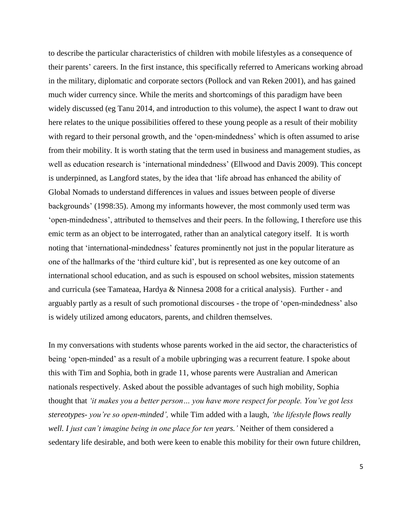to describe the particular characteristics of children with mobile lifestyles as a consequence of their parents' careers. In the first instance, this specifically referred to Americans working abroad in the military, diplomatic and corporate sectors (Pollock and van Reken 2001), and has gained much wider currency since. While the merits and shortcomings of this paradigm have been widely discussed (eg Tanu 2014, and introduction to this volume), the aspect I want to draw out here relates to the unique possibilities offered to these young people as a result of their mobility with regard to their personal growth, and the 'open-mindedness' which is often assumed to arise from their mobility. It is worth stating that the term used in business and management studies, as well as education research is 'international mindedness' (Ellwood and Davis 2009). This concept is underpinned, as Langford states, by the idea that 'life abroad has enhanced the ability of Global Nomads to understand differences in values and issues between people of diverse backgrounds' (1998:35). Among my informants however, the most commonly used term was 'open-mindedness', attributed to themselves and their peers. In the following, I therefore use this emic term as an object to be interrogated, rather than an analytical category itself. It is worth noting that 'international-mindedness' features prominently not just in the popular literature as one of the hallmarks of the 'third culture kid', but is represented as one key outcome of an international school education, and as such is espoused on school websites, mission statements and curricula (see Tamateaa, Hardya & Ninnesa 2008 for a critical analysis). Further - and arguably partly as a result of such promotional discourses - the trope of 'open-mindedness' also is widely utilized among educators, parents, and children themselves.

In my conversations with students whose parents worked in the aid sector, the characteristics of being 'open-minded' as a result of a mobile upbringing was a recurrent feature. I spoke about this with Tim and Sophia, both in grade 11, whose parents were Australian and American nationals respectively. Asked about the possible advantages of such high mobility, Sophia thought that *'it makes you a better person… you have more respect for people. You've got less stereotypes- you're so open-minded',* while Tim added with a laugh, *'the lifestyle flows really well. I just can't imagine being in one place for ten years.'* Neither of them considered a sedentary life desirable, and both were keen to enable this mobility for their own future children,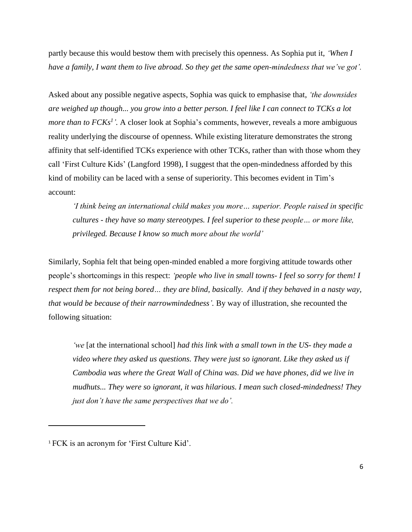partly because this would bestow them with precisely this openness. As Sophia put it, *'When I have a family, I want them to live abroad. So they get the same open-mindedness that we've got'.*

Asked about any possible negative aspects, Sophia was quick to emphasise that, *'the downsides are weighed up though... you grow into a better person. I feel like I can connect to TCKs a lot more than to FCKs<sup>1</sup>*. A closer look at Sophia's comments, however, reveals a more ambiguous reality underlying the discourse of openness. While existing literature demonstrates the strong affinity that self-identified TCKs experience with other TCKs, rather than with those whom they call 'First Culture Kids' (Langford 1998), I suggest that the open-mindedness afforded by this kind of mobility can be laced with a sense of superiority. This becomes evident in Tim's account:

*'I think being an international child makes you more… superior. People raised in specific cultures - they have so many stereotypes. I feel superior to these people… or more like, privileged. Because I know so much more about the world'* 

Similarly, Sophia felt that being open-minded enabled a more forgiving attitude towards other people's shortcomings in this respect: *'people who live in small towns- I feel so sorry for them! I respect them for not being bored… they are blind, basically. And if they behaved in a nasty way, that would be because of their narrowmindedness'.* By way of illustration, she recounted the following situation:

*'we* [at the international school] *had this link with a small town in the US- they made a video where they asked us questions. They were just so ignorant. Like they asked us if Cambodia was where the Great Wall of China was. Did we have phones, did we live in mudhuts... They were so ignorant, it was hilarious. I mean such closed-mindedness! They just don't have the same perspectives that we do'.*

l

<sup>1</sup> FCK is an acronym for 'First Culture Kid'.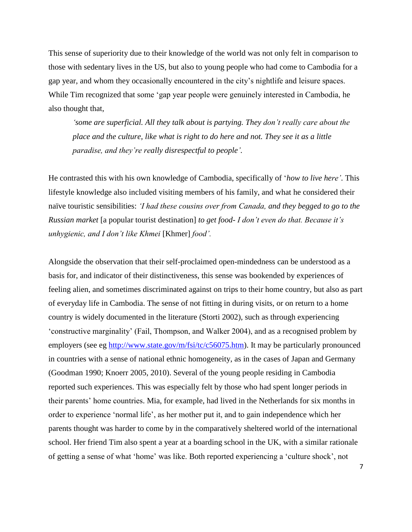This sense of superiority due to their knowledge of the world was not only felt in comparison to those with sedentary lives in the US, but also to young people who had come to Cambodia for a gap year, and whom they occasionally encountered in the city's nightlife and leisure spaces. While Tim recognized that some 'gap year people were genuinely interested in Cambodia, he also thought that,

*'some are superficial. All they talk about is partying. They don't really care about the place and the culture, like what is right to do here and not. They see it as a little paradise, and they're really disrespectful to people'.* 

He contrasted this with his own knowledge of Cambodia, specifically of '*how to live here'*. This lifestyle knowledge also included visiting members of his family, and what he considered their naïve touristic sensibilities: *'I had these cousins over from Canada, and they begged to go to the Russian market* [a popular tourist destination] *to get food- I don't even do that. Because it's unhygienic, and I don't like Khmei* [Khmer] *food'.* 

Alongside the observation that their self-proclaimed open-mindedness can be understood as a basis for, and indicator of their distinctiveness, this sense was bookended by experiences of feeling alien, and sometimes discriminated against on trips to their home country, but also as part of everyday life in Cambodia. The sense of not fitting in during visits, or on return to a home country is widely documented in the literature (Storti 2002), such as through experiencing 'constructive marginality' (Fail, Thompson, and Walker 2004), and as a recognised problem by employers (see eg [http://www.state.gov/m/fsi/tc/c56075.htm\)](http://www.state.gov/m/fsi/tc/c56075.htm). It may be particularly pronounced in countries with a sense of national ethnic homogeneity, as in the cases of Japan and Germany (Goodman 1990; Knoerr 2005, 2010). Several of the young people residing in Cambodia reported such experiences. This was especially felt by those who had spent longer periods in their parents' home countries. Mia, for example, had lived in the Netherlands for six months in order to experience 'normal life', as her mother put it, and to gain independence which her parents thought was harder to come by in the comparatively sheltered world of the international school. Her friend Tim also spent a year at a boarding school in the UK, with a similar rationale of getting a sense of what 'home' was like. Both reported experiencing a 'culture shock', not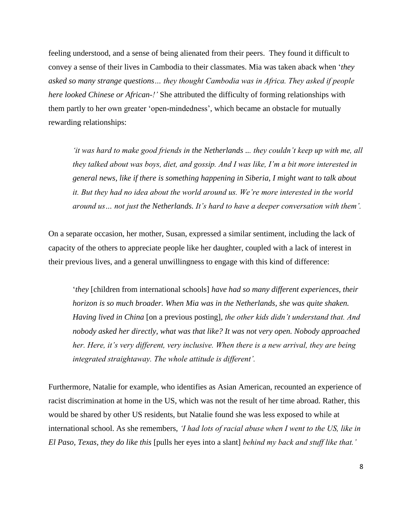feeling understood, and a sense of being alienated from their peers. They found it difficult to convey a sense of their lives in Cambodia to their classmates. Mia was taken aback when '*they asked so many strange questions… they thought Cambodia was in Africa. They asked if people here looked Chinese or African-!'* She attributed the difficulty of forming relationships with them partly to her own greater 'open-mindedness', which became an obstacle for mutually rewarding relationships:

*'it was hard to make good friends in the Netherlands ... they couldn't keep up with me, all they talked about was boys, diet, and gossip. And I was like, I'm a bit more interested in general news, like if there is something happening in Siberia, I might want to talk about it. But they had no idea about the world around us. We're more interested in the world around us… not just the Netherlands. It's hard to have a deeper conversation with them'.* 

On a separate occasion, her mother, Susan, expressed a similar sentiment, including the lack of capacity of the others to appreciate people like her daughter, coupled with a lack of interest in their previous lives, and a general unwillingness to engage with this kind of difference:

'*they* [children from international schools] *have had so many different experiences, their horizon is so much broader. When Mia was in the Netherlands, she was quite shaken. Having lived in China* [on a previous posting], *the other kids didn't understand that. And nobody asked her directly, what was that like? It was not very open. Nobody approached her. Here, it's very different, very inclusive. When there is a new arrival, they are being integrated straightaway. The whole attitude is different'.* 

Furthermore, Natalie for example, who identifies as Asian American, recounted an experience of racist discrimination at home in the US, which was not the result of her time abroad. Rather, this would be shared by other US residents, but Natalie found she was less exposed to while at international school. As she remembers, *'I had lots of racial abuse when I went to the US, like in El Paso, Texas, they do like this* [pulls her eyes into a slant] *behind my back and stuff like that.'*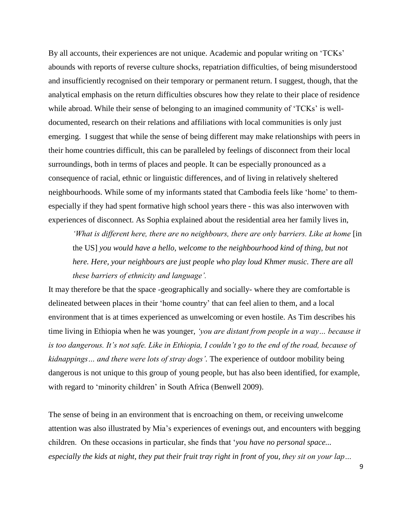By all accounts, their experiences are not unique. Academic and popular writing on 'TCKs' abounds with reports of reverse culture shocks, repatriation difficulties, of being misunderstood and insufficiently recognised on their temporary or permanent return. I suggest, though, that the analytical emphasis on the return difficulties obscures how they relate to their place of residence while abroad. While their sense of belonging to an imagined community of 'TCKs' is welldocumented, research on their relations and affiliations with local communities is only just emerging. I suggest that while the sense of being different may make relationships with peers in their home countries difficult, this can be paralleled by feelings of disconnect from their local surroundings, both in terms of places and people. It can be especially pronounced as a consequence of racial, ethnic or linguistic differences, and of living in relatively sheltered neighbourhoods. While some of my informants stated that Cambodia feels like 'home' to themespecially if they had spent formative high school years there - this was also interwoven with experiences of disconnect. As Sophia explained about the residential area her family lives in,

*'What is different here, there are no neighbours, there are only barriers. Like at home* [in] the US] *you would have a hello, welcome to the neighbourhood kind of thing, but not here. Here, your neighbours are just people who play loud Khmer music. There are all these barriers of ethnicity and language'.* 

It may therefore be that the space -geographically and socially- where they are comfortable is delineated between places in their 'home country' that can feel alien to them, and a local environment that is at times experienced as unwelcoming or even hostile. As Tim describes his time living in Ethiopia when he was younger, *'you are distant from people in a way… because it is too dangerous. It's not safe. Like in Ethiopia, I couldn't go to the end of the road, because of kidnappings… and there were lots of stray dogs'.* The experience of outdoor mobility being dangerous is not unique to this group of young people, but has also been identified, for example, with regard to 'minority children' in South Africa (Benwell 2009).

The sense of being in an environment that is encroaching on them, or receiving unwelcome attention was also illustrated by Mia's experiences of evenings out, and encounters with begging children. On these occasions in particular, she finds that '*you have no personal space... especially the kids at night, they put their fruit tray right in front of you, they sit on your lap…*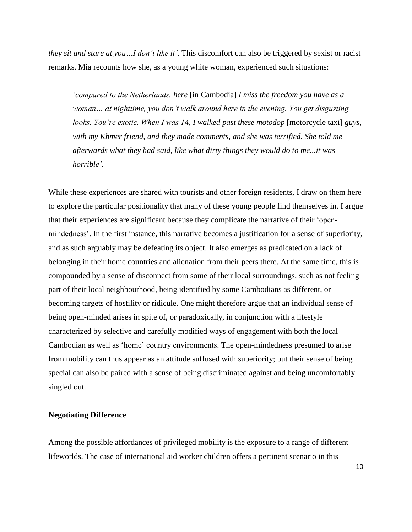*they sit and stare at you…I don't like it'.* This discomfort can also be triggered by sexist or racist remarks. Mia recounts how she, as a young white woman, experienced such situations:

*'compared to the Netherlands, here* [in Cambodia] *I miss the freedom you have as a woman… at nighttime, you don't walk around here in the evening. You get disgusting looks. You're exotic. When I was 14, I walked past these motodop* [motorcycle taxi] *guys, with my Khmer friend, and they made comments, and she was terrified. She told me afterwards what they had said, like what dirty things they would do to me...it was horrible'.*

While these experiences are shared with tourists and other foreign residents, I draw on them here to explore the particular positionality that many of these young people find themselves in. I argue that their experiences are significant because they complicate the narrative of their 'openmindedness'. In the first instance, this narrative becomes a justification for a sense of superiority, and as such arguably may be defeating its object. It also emerges as predicated on a lack of belonging in their home countries and alienation from their peers there. At the same time, this is compounded by a sense of disconnect from some of their local surroundings, such as not feeling part of their local neighbourhood, being identified by some Cambodians as different, or becoming targets of hostility or ridicule. One might therefore argue that an individual sense of being open-minded arises in spite of, or paradoxically, in conjunction with a lifestyle characterized by selective and carefully modified ways of engagement with both the local Cambodian as well as 'home' country environments. The open-mindedness presumed to arise from mobility can thus appear as an attitude suffused with superiority; but their sense of being special can also be paired with a sense of being discriminated against and being uncomfortably singled out.

# **Negotiating Difference**

Among the possible affordances of privileged mobility is the exposure to a range of different lifeworlds. The case of international aid worker children offers a pertinent scenario in this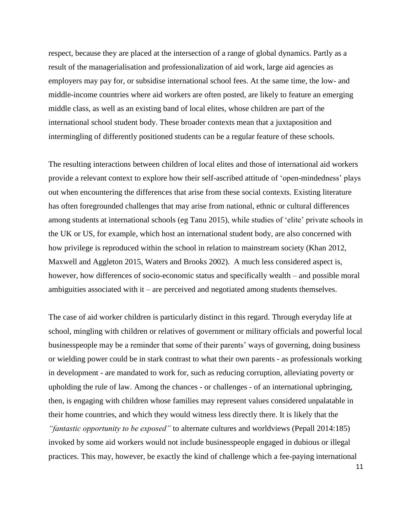respect, because they are placed at the intersection of a range of global dynamics. Partly as a result of the managerialisation and professionalization of aid work, large aid agencies as employers may pay for, or subsidise international school fees. At the same time, the low- and middle-income countries where aid workers are often posted, are likely to feature an emerging middle class, as well as an existing band of local elites, whose children are part of the international school student body. These broader contexts mean that a juxtaposition and intermingling of differently positioned students can be a regular feature of these schools.

The resulting interactions between children of local elites and those of international aid workers provide a relevant context to explore how their self-ascribed attitude of 'open-mindedness' plays out when encountering the differences that arise from these social contexts. Existing literature has often foregrounded challenges that may arise from national, ethnic or cultural differences among students at international schools (eg Tanu 2015), while studies of 'elite' private schools in the UK or US, for example, which host an international student body, are also concerned with how privilege is reproduced within the school in relation to mainstream society (Khan 2012, Maxwell and Aggleton 2015, Waters and Brooks 2002). A much less considered aspect is, however, how differences of socio-economic status and specifically wealth – and possible moral ambiguities associated with it – are perceived and negotiated among students themselves.

The case of aid worker children is particularly distinct in this regard. Through everyday life at school, mingling with children or relatives of government or military officials and powerful local businesspeople may be a reminder that some of their parents' ways of governing, doing business or wielding power could be in stark contrast to what their own parents - as professionals working in development - are mandated to work for, such as reducing corruption, alleviating poverty or upholding the rule of law. Among the chances - or challenges - of an international upbringing, then, is engaging with children whose families may represent values considered unpalatable in their home countries, and which they would witness less directly there. It is likely that the *"fantastic opportunity to be exposed"* to alternate cultures and worldviews (Pepall 2014:185) invoked by some aid workers would not include businesspeople engaged in dubious or illegal practices. This may, however, be exactly the kind of challenge which a fee-paying international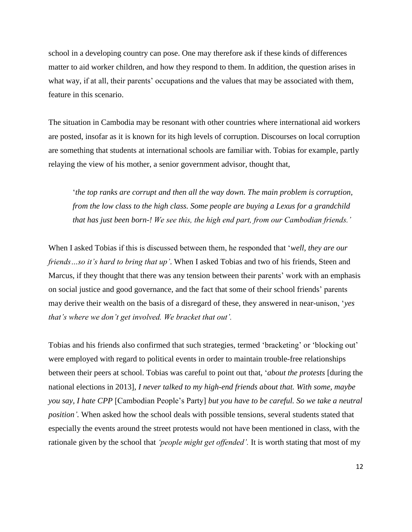school in a developing country can pose. One may therefore ask if these kinds of differences matter to aid worker children, and how they respond to them. In addition, the question arises in what way, if at all, their parents' occupations and the values that may be associated with them, feature in this scenario.

The situation in Cambodia may be resonant with other countries where international aid workers are posted, insofar as it is known for its high levels of corruption. Discourses on local corruption are something that students at international schools are familiar with. Tobias for example, partly relaying the view of his mother, a senior government advisor, thought that,

'*the top ranks are corrupt and then all the way down. The main problem is corruption, from the low class to the high class. Some people are buying a Lexus for a grandchild that has just been born-! We see this, the high end part, from our Cambodian friends.'* 

When I asked Tobias if this is discussed between them, he responded that '*well, they are our friends…so it's hard to bring that up'*. When I asked Tobias and two of his friends, Steen and Marcus, if they thought that there was any tension between their parents' work with an emphasis on social justice and good governance, and the fact that some of their school friends' parents may derive their wealth on the basis of a disregard of these, they answered in near-unison, '*yes that's where we don't get involved. We bracket that out'.*

Tobias and his friends also confirmed that such strategies, termed 'bracketing' or 'blocking out' were employed with regard to political events in order to maintain trouble-free relationships between their peers at school. Tobias was careful to point out that, '*about the protests* [during the national elections in 2013]*, I never talked to my high-end friends about that. With some, maybe you say, I hate CPP* [Cambodian People's Party] *but you have to be careful. So we take a neutral position'.* When asked how the school deals with possible tensions, several students stated that especially the events around the street protests would not have been mentioned in class, with the rationale given by the school that *'people might get offended'.* It is worth stating that most of my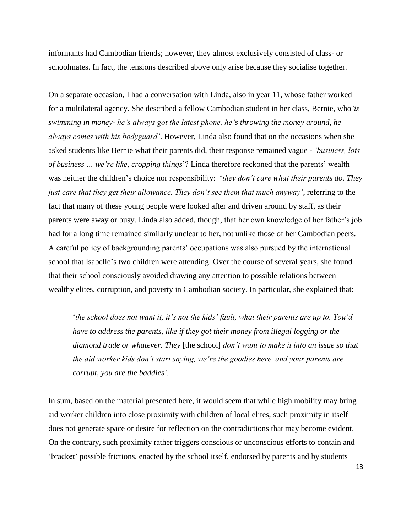informants had Cambodian friends; however, they almost exclusively consisted of class- or schoolmates. In fact, the tensions described above only arise because they socialise together.

On a separate occasion, I had a conversation with Linda, also in year 11, whose father worked for a multilateral agency. She described a fellow Cambodian student in her class, Bernie, who*'is swimming in money- he's always got the latest phone, he's throwing the money around, he always comes with his bodyguard'*. However, Linda also found that on the occasions when she asked students like Bernie what their parents did, their response remained vague *- 'business, lots of business … we're like, cropping things*'? Linda therefore reckoned that the parents' wealth was neither the children's choice nor responsibility: '*they don't care what their parents do. They just care that they get their allowance. They don't see them that much anyway'*, referring to the fact that many of these young people were looked after and driven around by staff, as their parents were away or busy. Linda also added, though, that her own knowledge of her father's job had for a long time remained similarly unclear to her, not unlike those of her Cambodian peers. A careful policy of backgrounding parents' occupations was also pursued by the international school that Isabelle's two children were attending. Over the course of several years, she found that their school consciously avoided drawing any attention to possible relations between wealthy elites, corruption, and poverty in Cambodian society. In particular, she explained that:

'*the school does not want it, it's not the kids' fault, what their parents are up to. You'd have to address the parents, like if they got their money from illegal logging or the diamond trade or whatever. They* [the school] *don't want to make it into an issue so that the aid worker kids don't start saying, we're the goodies here, and your parents are corrupt, you are the baddies'.*

In sum, based on the material presented here, it would seem that while high mobility may bring aid worker children into close proximity with children of local elites, such proximity in itself does not generate space or desire for reflection on the contradictions that may become evident. On the contrary, such proximity rather triggers conscious or unconscious efforts to contain and 'bracket' possible frictions, enacted by the school itself, endorsed by parents and by students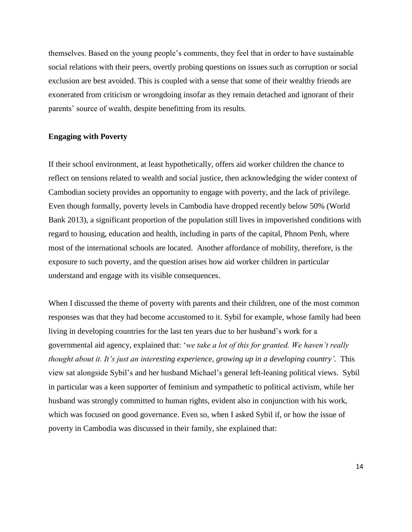themselves. Based on the young people's comments, they feel that in order to have sustainable social relations with their peers, overtly probing questions on issues such as corruption or social exclusion are best avoided. This is coupled with a sense that some of their wealthy friends are exonerated from criticism or wrongdoing insofar as they remain detached and ignorant of their parents' source of wealth, despite benefitting from its results.

## **Engaging with Poverty**

If their school environment, at least hypothetically, offers aid worker children the chance to reflect on tensions related to wealth and social justice, then acknowledging the wider context of Cambodian society provides an opportunity to engage with poverty, and the lack of privilege. Even though formally, poverty levels in Cambodia have dropped recently below 50% (World Bank 2013), a significant proportion of the population still lives in impoverished conditions with regard to housing, education and health, including in parts of the capital, Phnom Penh, where most of the international schools are located. Another affordance of mobility, therefore, is the exposure to such poverty, and the question arises how aid worker children in particular understand and engage with its visible consequences.

When I discussed the theme of poverty with parents and their children, one of the most common responses was that they had become accustomed to it. Sybil for example, whose family had been living in developing countries for the last ten years due to her husband's work for a governmental aid agency, explained that: '*we take a lot of this for granted. We haven't really thought about it. It's just an interesting experience, growing up in a developing country'.* This view sat alongside Sybil's and her husband Michael's general left-leaning political views. Sybil in particular was a keen supporter of feminism and sympathetic to political activism, while her husband was strongly committed to human rights, evident also in conjunction with his work, which was focused on good governance. Even so, when I asked Sybil if, or how the issue of poverty in Cambodia was discussed in their family, she explained that: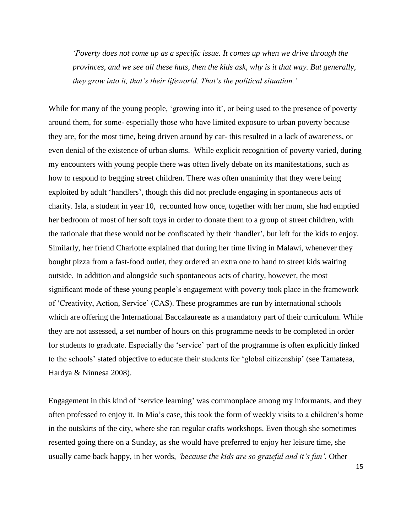*'Poverty does not come up as a specific issue. It comes up when we drive through the provinces, and we see all these huts, then the kids ask, why is it that way. But generally, they grow into it, that's their lifeworld. That's the political situation.'*

While for many of the young people, 'growing into it', or being used to the presence of poverty around them, for some- especially those who have limited exposure to urban poverty because they are, for the most time, being driven around by car- this resulted in a lack of awareness, or even denial of the existence of urban slums. While explicit recognition of poverty varied, during my encounters with young people there was often lively debate on its manifestations, such as how to respond to begging street children. There was often unanimity that they were being exploited by adult 'handlers', though this did not preclude engaging in spontaneous acts of charity. Isla, a student in year 10, recounted how once, together with her mum, she had emptied her bedroom of most of her soft toys in order to donate them to a group of street children, with the rationale that these would not be confiscated by their 'handler', but left for the kids to enjoy. Similarly, her friend Charlotte explained that during her time living in Malawi, whenever they bought pizza from a fast-food outlet, they ordered an extra one to hand to street kids waiting outside. In addition and alongside such spontaneous acts of charity, however, the most significant mode of these young people's engagement with poverty took place in the framework of 'Creativity, Action, Service' (CAS). These programmes are run by international schools which are offering the International Baccalaureate as a mandatory part of their curriculum. While they are not assessed, a set number of hours on this programme needs to be completed in order for students to graduate. Especially the 'service' part of the programme is often explicitly linked to the schools' stated objective to educate their students for 'global citizenship' (see Tamateaa, Hardya & Ninnesa 2008).

Engagement in this kind of 'service learning' was commonplace among my informants, and they often professed to enjoy it. In Mia's case, this took the form of weekly visits to a children's home in the outskirts of the city, where she ran regular crafts workshops. Even though she sometimes resented going there on a Sunday, as she would have preferred to enjoy her leisure time, she usually came back happy, in her words, *'because the kids are so grateful and it's fun'.* Other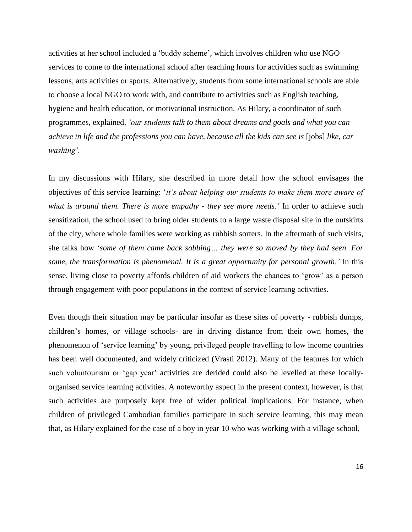activities at her school included a 'buddy scheme', which involves children who use NGO services to come to the international school after teaching hours for activities such as swimming lessons, arts activities or sports. Alternatively, students from some international schools are able to choose a local NGO to work with, and contribute to activities such as English teaching, hygiene and health education, or motivational instruction. As Hilary, a coordinator of such programmes, explained, *'our students talk to them about dreams and goals and what you can achieve in life and the professions you can have, because all the kids can see is* [jobs] *like, car washing'.*

In my discussions with Hilary, she described in more detail how the school envisages the objectives of this service learning: '*it's about helping our students to make them more aware of what is around them. There is more empathy - they see more needs.'* In order to achieve such sensitization, the school used to bring older students to a large waste disposal site in the outskirts of the city, where whole families were working as rubbish sorters. In the aftermath of such visits, she talks how '*some of them came back sobbing… they were so moved by they had seen. For some, the transformation is phenomenal. It is a great opportunity for personal growth.'* In this sense, living close to poverty affords children of aid workers the chances to 'grow' as a person through engagement with poor populations in the context of service learning activities.

Even though their situation may be particular insofar as these sites of poverty - rubbish dumps, children's homes, or village schools- are in driving distance from their own homes, the phenomenon of 'service learning' by young, privileged people travelling to low income countries has been well documented, and widely criticized (Vrasti 2012). Many of the features for which such voluntourism or 'gap year' activities are derided could also be levelled at these locallyorganised service learning activities. A noteworthy aspect in the present context, however, is that such activities are purposely kept free of wider political implications. For instance, when children of privileged Cambodian families participate in such service learning, this may mean that, as Hilary explained for the case of a boy in year 10 who was working with a village school,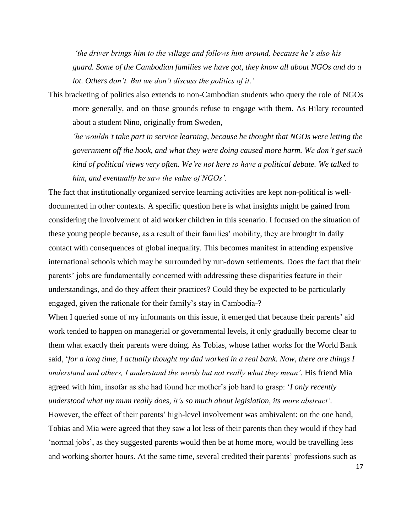*'the driver brings him to the village and follows him around, because he's also his guard. Some of the Cambodian families we have got, they know all about NGOs and do a lot. Others don't. But we don't discuss the politics of it.'*

This bracketing of politics also extends to non-Cambodian students who query the role of NGOs more generally, and on those grounds refuse to engage with them. As Hilary recounted about a student Nino, originally from Sweden,

*'he wouldn't take part in service learning, because he thought that NGOs were letting the government off the hook, and what they were doing caused more harm. We don't get such kind of political views very often. We're not here to have a political debate. We talked to him, and eventually he saw the value of NGOs'.* 

The fact that institutionally organized service learning activities are kept non-political is welldocumented in other contexts. A specific question here is what insights might be gained from considering the involvement of aid worker children in this scenario. I focused on the situation of these young people because, as a result of their families' mobility, they are brought in daily contact with consequences of global inequality. This becomes manifest in attending expensive international schools which may be surrounded by run-down settlements. Does the fact that their parents' jobs are fundamentally concerned with addressing these disparities feature in their understandings, and do they affect their practices? Could they be expected to be particularly engaged, given the rationale for their family's stay in Cambodia-?

When I queried some of my informants on this issue, it emerged that because their parents' aid work tended to happen on managerial or governmental levels, it only gradually become clear to them what exactly their parents were doing. As Tobias, whose father works for the World Bank said, '*for a long time, I actually thought my dad worked in a real bank. Now, there are things I understand and others, I understand the words but not really what they mean'*. His friend Mia agreed with him, insofar as she had found her mother's job hard to grasp: '*I only recently understood what my mum really does, it's so much about legislation, its more abstract'.* However, the effect of their parents' high-level involvement was ambivalent: on the one hand, Tobias and Mia were agreed that they saw a lot less of their parents than they would if they had 'normal jobs', as they suggested parents would then be at home more, would be travelling less and working shorter hours. At the same time, several credited their parents' professions such as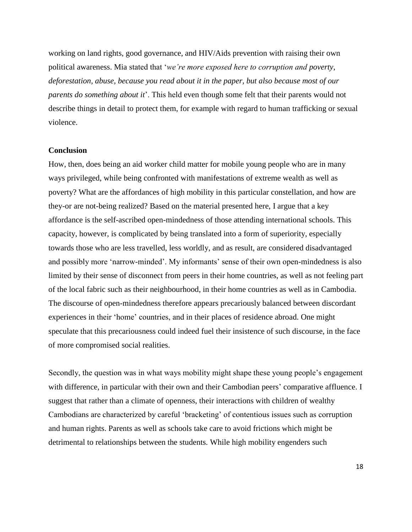working on land rights, good governance, and HIV/Aids prevention with raising their own political awareness. Mia stated that '*we're more exposed here to corruption and poverty, deforestation, abuse, because you read about it in the paper, but also because most of our parents do something about it*'. This held even though some felt that their parents would not describe things in detail to protect them, for example with regard to human trafficking or sexual violence.

### **Conclusion**

How, then, does being an aid worker child matter for mobile young people who are in many ways privileged, while being confronted with manifestations of extreme wealth as well as poverty? What are the affordances of high mobility in this particular constellation, and how are they-or are not-being realized? Based on the material presented here, I argue that a key affordance is the self-ascribed open-mindedness of those attending international schools. This capacity, however, is complicated by being translated into a form of superiority, especially towards those who are less travelled, less worldly, and as result, are considered disadvantaged and possibly more 'narrow-minded'. My informants' sense of their own open-mindedness is also limited by their sense of disconnect from peers in their home countries, as well as not feeling part of the local fabric such as their neighbourhood, in their home countries as well as in Cambodia. The discourse of open-mindedness therefore appears precariously balanced between discordant experiences in their 'home' countries, and in their places of residence abroad. One might speculate that this precariousness could indeed fuel their insistence of such discourse, in the face of more compromised social realities.

Secondly, the question was in what ways mobility might shape these young people's engagement with difference, in particular with their own and their Cambodian peers' comparative affluence. I suggest that rather than a climate of openness, their interactions with children of wealthy Cambodians are characterized by careful 'bracketing' of contentious issues such as corruption and human rights. Parents as well as schools take care to avoid frictions which might be detrimental to relationships between the students. While high mobility engenders such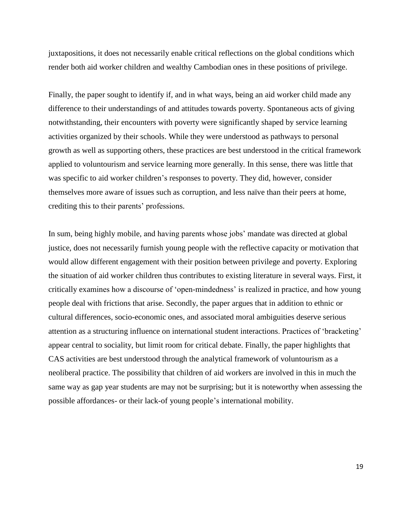juxtapositions, it does not necessarily enable critical reflections on the global conditions which render both aid worker children and wealthy Cambodian ones in these positions of privilege.

Finally, the paper sought to identify if, and in what ways, being an aid worker child made any difference to their understandings of and attitudes towards poverty. Spontaneous acts of giving notwithstanding, their encounters with poverty were significantly shaped by service learning activities organized by their schools. While they were understood as pathways to personal growth as well as supporting others, these practices are best understood in the critical framework applied to voluntourism and service learning more generally. In this sense, there was little that was specific to aid worker children's responses to poverty. They did, however, consider themselves more aware of issues such as corruption, and less naïve than their peers at home, crediting this to their parents' professions.

In sum, being highly mobile, and having parents whose jobs' mandate was directed at global justice, does not necessarily furnish young people with the reflective capacity or motivation that would allow different engagement with their position between privilege and poverty. Exploring the situation of aid worker children thus contributes to existing literature in several ways. First, it critically examines how a discourse of 'open-mindedness' is realized in practice, and how young people deal with frictions that arise. Secondly, the paper argues that in addition to ethnic or cultural differences, socio-economic ones, and associated moral ambiguities deserve serious attention as a structuring influence on international student interactions. Practices of 'bracketing' appear central to sociality, but limit room for critical debate. Finally, the paper highlights that CAS activities are best understood through the analytical framework of voluntourism as a neoliberal practice. The possibility that children of aid workers are involved in this in much the same way as gap year students are may not be surprising; but it is noteworthy when assessing the possible affordances- or their lack-of young people's international mobility.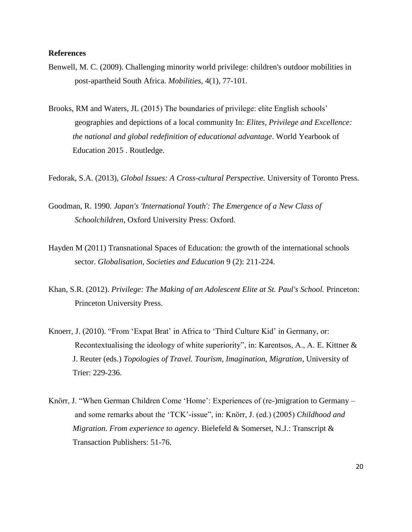## **References**

- Benwell, M. C. (2009). Challenging minority world privilege: children's outdoor mobilities in post-apartheid South Africa. *Mobilities,* 4(1), 77-101.
- Brooks, RM and Waters, JL (2015) The boundaries of privilege: elite English schools' geographies and depictions of a local community In: *Elites, Privilege and Excellence: the national and global redefinition of educational advantage*. World Yearbook of Education 2015 . Routledge.

Fedorak, S.A. (2013), *Global Issues: A Cross-cultural Perspective.* University of Toronto Press.

- Goodman, R. 1990*. Japan's 'International Youth': The Emergence of a New Class of Schoolchildren*, Oxford University Press: Oxford.
- Hayden M (2011) Transnational Spaces of Education: the growth of the international schools sector. *Globalisation, Societies and Education* 9 (2): 211-224.
- Khan, S.R. (2012). *Privilege: The Making of an Adolescent Elite at St. Paul's School.* Princeton: Princeton University Press.
- Knoerr, J. (2010). "From 'Expat Brat' in Africa to 'Third Culture Kid' in Germany, or: Recontextualising the ideology of white superiority", in: Karentsos, A., A. E. Kittner & J. Reuter (eds.) *Topologies of Travel. Tourism, Imagination, Migration*, University of Trier: 229-236.
- Knörr, J. "When German Children Come 'Home': Experiences of (re-)migration to Germany and some remarks about the 'TCK'-issue", in: Knörr, J. (ed.) (2005) *Childhood and Migration. From experience to agency*. Bielefeld & Somerset, N.J.: Transcript & Transaction Publishers: 51-76.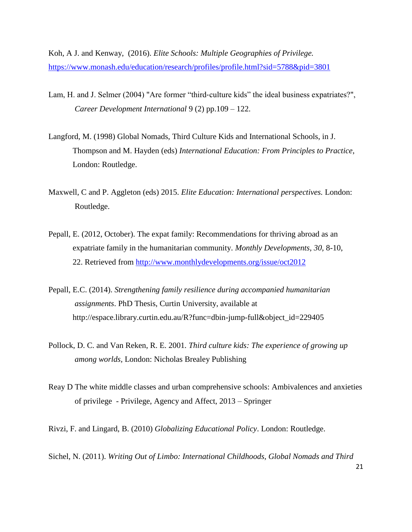Koh, A J. and Kenway, (2016). *Elite Schools: Multiple Geographies of Privilege.* <https://www.monash.edu/education/research/profiles/profile.html?sid=5788&pid=3801>

- Lam, H. and J. Selmer (2004) "Are former "third-culture kids" the ideal business expatriates?", *Career Development International* 9 (2) pp.109 – 122.
- Langford, M. (1998) Global Nomads, Third Culture Kids and International Schools, in J. Thompson and M. Hayden (eds) *International Education: From Principles to Practice*, London: Routledge.
- Maxwell, C and P. Aggleton (eds) 2015. *Elite Education: International perspectives.* London: Routledge.
- Pepall, E. (2012, October). The expat family: Recommendations for thriving abroad as an expatriate family in the humanitarian community. *Monthly Developments, 30,* 8-10, 22. Retrieved from<http://www.monthlydevelopments.org/issue/oct2012>
- Pepall, E.C. (2014). *Strengthening family resilience during accompanied humanitarian assignments*. PhD Thesis, Curtin University, available at http://espace.library.curtin.edu.au/R?func=dbin-jump-full&object\_id=229405
- Pollock, D. C. and Van Reken, R. E. 2001*. Third culture kids: The experience of growing up among worlds,* London: Nicholas Brealey Publishing
- Reay D The white middle classes and urban comprehensive schools: Ambivalences and anxieties of privilege - Privilege, Agency and Affect, 2013 – Springer

Rivzi, F. and Lingard, B. (2010) *Globalizing Educational Policy*. London: Routledge.

Sichel, N. (2011). *Writing Out of Limbo: International Childhoods, Global Nomads and Third*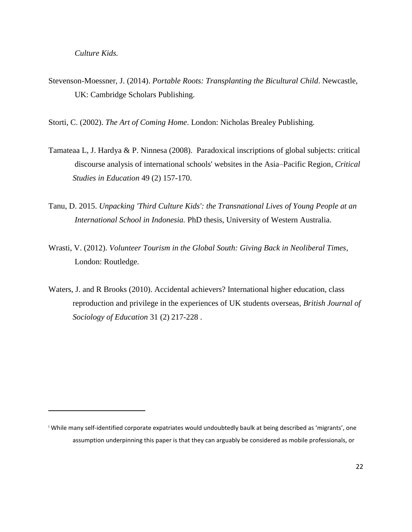l

Stevenson-Moessner, J. (2014). *Portable Roots: Transplanting the Bicultural Child*. Newcastle, UK: Cambridge Scholars Publishing.

Storti, C. (2002). *The Art of Coming Home*. London: Nicholas Brealey Publishing.

- Tamateaa L, J. Hardya & P. Ninnesa (2008). Paradoxical inscriptions of global subjects: critical discourse analysis of international schools' websites in the Asia–Pacific Region, *Critical Studies in Education* 49 (2) 157-170.
- Tanu, D. 2015. *Unpacking 'Third Culture Kids': the Transnational Lives of Young People at an International School in Indonesia.* PhD thesis, University of Western Australia.
- Wrasti, V. (2012). *Volunteer Tourism in the Global South: Giving Back in Neoliberal Times*, London: Routledge.
- [Waters,](http://scholar.google.co.uk/citations?user=a2od2H0AAAAJ&hl=en&oi=sra) J. and [R Brooks](http://scholar.google.co.uk/citations?user=Z6kjRt0AAAAJ&hl=en&oi=sra) (2010). [Accidental achievers? International higher education, class](http://www.tandfonline.com/doi/abs/10.1080/01425690903539164) [reproduction and privilege in the experiences of UK students overseas,](http://www.tandfonline.com/doi/abs/10.1080/01425690903539164) *British Journal of Sociology of Education* 31 (2) 217-228 .

<sup>i</sup> While many self-identified corporate expatriates would undoubtedly baulk at being described as 'migrants', one assumption underpinning this paper is that they can arguably be considered as mobile professionals, or